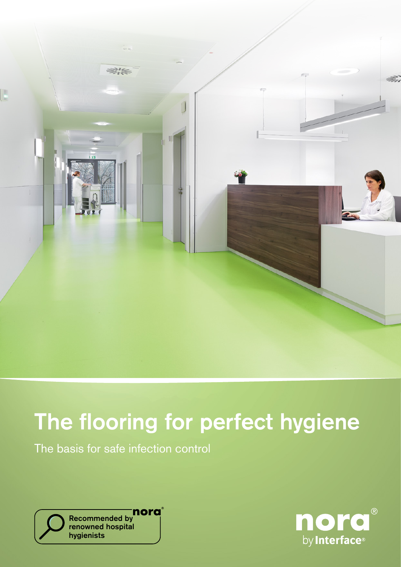

# The flooring for perfect hygiene

The basis for safe infection control



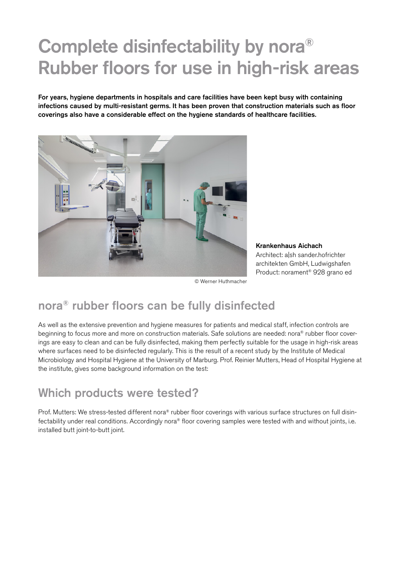## Complete disinfectability by nora® Rubber floors for use in high-risk areas

For years, hygiene departments in hospitals and care facilities have been kept busy with containing infections caused by multi-resistant germs. It has been proven that construction materials such as floor coverings also have a considerable effect on the hygiene standards of healthcare facilities.



Krankenhaus Aichach Architect: a|sh sander.hofrichter architekten GmbH, Ludwigshafen Product: norament® 928 grano ed

© Werner Huthmacher

### nora® rubber floors can be fully disinfected

As well as the extensive prevention and hygiene measures for patients and medical staff, infection controls are beginning to focus more and more on construction materials. Safe solutions are needed: nora® rubber floor coverings are easy to clean and can be fully disinfected, making them perfectly suitable for the usage in high-risk areas where surfaces need to be disinfected regularly. This is the result of a recent study by the Institute of Medical Microbiology and Hospital Hygiene at the University of Marburg. Prof. Reinier Mutters, Head of Hospital Hygiene at the institute, gives some background information on the test:

### Which products were tested?

Prof. Mutters: We stress-tested different nora® rubber floor coverings with various surface structures on full disinfectability under real conditions. Accordingly nora® floor covering samples were tested with and without joints, i.e. installed butt joint-to-butt joint.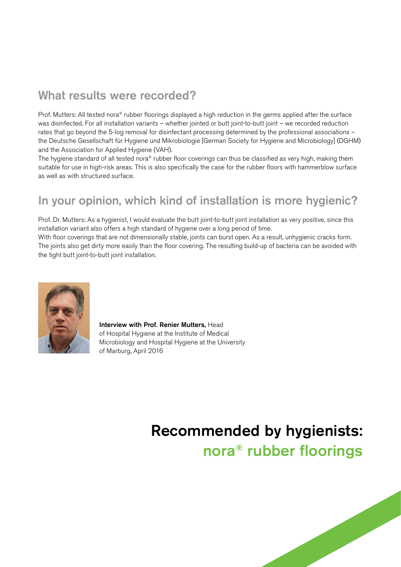### What results were recorded?

Prof. Mutters: All tested nora® rubber floorings displayed a high reduction in the germs applied after the surface was disinfected. For all installation variants – whether jointed or butt joint-to-butt joint – we recorded reduction rates that go beyond the 5-log removal for disinfectant processing determined by the professional associations – the Deutsche Gesellschaft für Hygiene und Mikrobiologie [German Society for Hygiene and Microbiology] (DGHM) and the Association for Applied Hygiene (VAH).

The hygiene standard of all tested nora® rubber floor coverings can thus be classified as very high, making them suitable for use in high-risk areas. This is also specifically the case for the rubber floors with hammerblow surface as well as with structured surface.

## In your opinion, which kind of installation is more hygienic?

Prof. Dr. Mutters: As a hygienist, I would evaluate the butt joint-to-butt joint installation as very positive, since this installation variant also offers a high standard of hygiene over a long period of time.

With floor coverings that are not dimensionally stable, joints can burst open. As a result, unhygienic cracks form. The joints also get dirty more easily than the floor covering. The resulting build-up of bacteria can be avoided with the tight butt joint-to-butt joint installation.



Interview with Prof. Renier Mutters, Head of Hospital Hygiene at the Institute of Medical Microbiology and Hospital Hygiene at the University of Marburg, April 2016

## Recommended by hygienists: nora® rubber floorings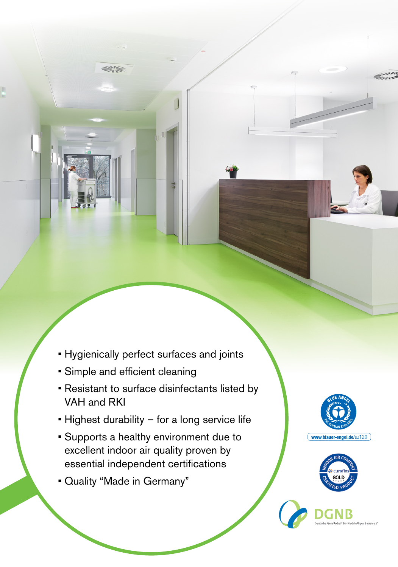- Hygienically perfect surfaces and joints
- Simple and efficient cleaning

亚洲

• Resistant to surface disinfectants listed by VAH and RKI

a

- Highest durability for a long service life
- Supports a healthy environment due to excellent indoor air quality proven by essential independent certifications
- Quality "Made in Germany"





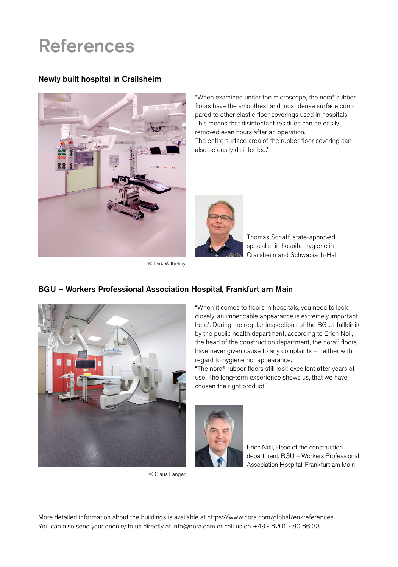## References

#### Newly built hospital in Crailsheim



"When examined under the microscope, the nora® rubber floors have the smoothest and most dense surface compared to other elastic floor coverings used in hospitals. This means that disinfectant residues can be easily removed even hours after an operation. The entire surface area of the rubber floor covering can also be easily disinfected."



© Dirk Wilhelmy

Thomas Schaff, state-approved specialist in hospital hygiene in Crailsheim and Schwäbisch-Hall



© Claus Langer

### "When it comes to floors in hospitals, you need to look closely, an impeccable appearance is extremely important here". During the regular inspections of the BG Unfallklinik by the public health department, according to Erich Noll, the head of the construction department, the nora® floors have never given cause to any complaints – neither with regard to hygiene nor appearance.

"The nora® rubber floors still look excellent after years of use. The long-term experience shows us, that we have chosen the right product."



Erich Noll, Head of the construction department, BGU – Workers Professional Association Hospital, Frankfurt am Main

More detailed information about the buildings is available at https://www.nora.com/global/en/references. You can also send your enquiry to us directly at info@nora.com or call us on +49 - 6201 - 80 66 33.

### BGU – Workers Professional Association Hospital, Frankfurt am Main